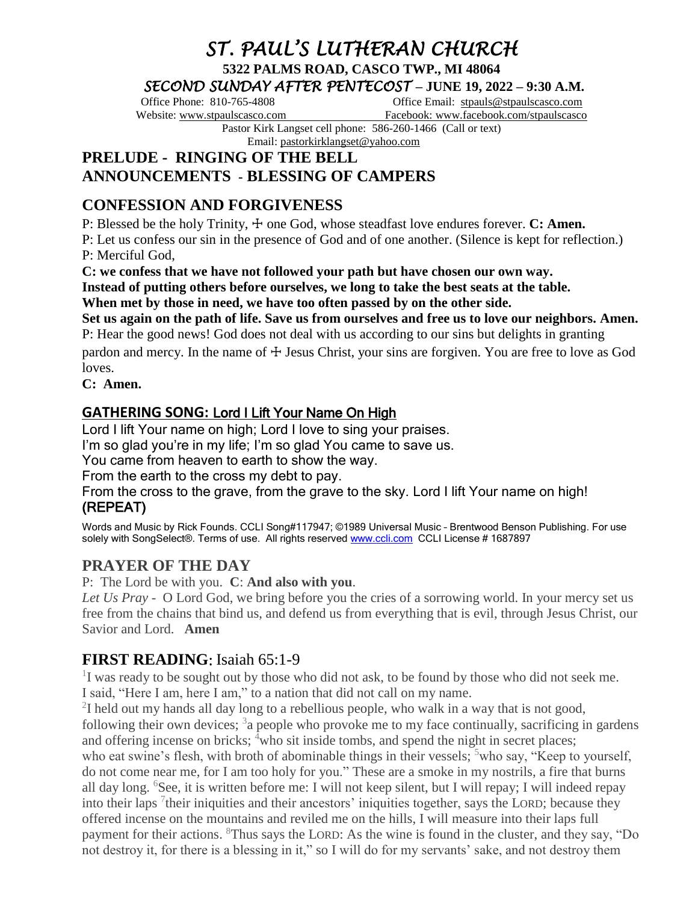*ST. PAUL'S LUTHERAN CHURCH*  **5322 PALMS ROAD, CASCO TWP., MI 48064**  *SECOND SUNDAY AFTER PENTECOST* **– JUNE 19, 2022 – 9:30 A.M.** 

Office Phone: 810-765-4808 Office Email: [stpauls@stpaulscasco.com](mailto:stpauls@stpaulscasco.com) Website: [www.stpaulscasco.com](http://www.stpaulscasco.com/) Facebook: [www.facebook.com/stpaulscasco](http://www.facebook.com/stpaulscasco)

Pastor Kirk Langset cell phone: 586-260-1466 (Call or text) Email: [pastorkirklangset@yahoo.com](mailto:pastorkirklangset@yahoo.com)

## **PRELUDE - RINGING OF THE BELL ANNOUNCEMENTS - BLESSING OF CAMPERS**

# **CONFESSION AND FORGIVENESS**

P: Blessed be the holy Trinity,  $\pm$  one God, whose steadfast love endures forever. **C: Amen.** 

P: Let us confess our sin in the presence of God and of one another. (Silence is kept for reflection.) P: Merciful God,

**C: we confess that we have not followed your path but have chosen our own way.**

**Instead of putting others before ourselves, we long to take the best seats at the table.**

**When met by those in need, we have too often passed by on the other side.**

**Set us again on the path of life. Save us from ourselves and free us to love our neighbors. Amen.** P: Hear the good news! God does not deal with us according to our sins but delights in granting

pardon and mercy. In the name of  $\pm$  Jesus Christ, your sins are forgiven. You are free to love as God loves.

**C: Amen.**

## **GATHERING SONG:** Lord I Lift Your Name On High

Lord I lift Your name on high; Lord I love to sing your praises.

I'm so glad you're in my life; I'm so glad You came to save us.

You came from heaven to earth to show the way.

From the earth to the cross my debt to pay.

From the cross to the grave, from the grave to the sky. Lord I lift Your name on high! (REPEAT)

 Words and Music by Rick Founds. CCLI Song#117947; ©1989 Universal Music – Brentwood Benson Publishing. For use solely with SongSelect®. Terms of use. All rights reserved [www.ccli.com](http://www.ccli.com/) CCLI License # 1687897

## **PRAYER OF THE DAY**

P: The Lord be with you. **C**: **And also with you**.

*Let Us Pray -* O Lord God, we bring before you the cries of a sorrowing world. In your mercy set us free from the chains that bind us, and defend us from everything that is evil, through Jesus Christ, our Savior and Lord. **Amen**

## **FIRST READING**: Isaiah 65:1-9

<sup>1</sup>I was ready to be sought out by those who did not ask, to be found by those who did not seek me. I said, "Here I am, here I am," to a nation that did not call on my name.

 $2I$  held out my hands all day long to a rebellious people, who walk in a way that is not good, following their own devices;  $3a$  people who provoke me to my face continually, sacrificing in gardens and offering incense on bricks; <sup>4</sup>who sit inside tombs, and spend the night in secret places; who eat swine's flesh, with broth of abominable things in their vessels;  $5$ who say, "Keep to yourself, do not come near me, for I am too holy for you." These are a smoke in my nostrils, a fire that burns all day long. <sup>6</sup>See, it is written before me: I will not keep silent, but I will repay; I will indeed repay into their laps <sup>7</sup> their iniquities and their ancestors' iniquities together, says the LORD; because they offered incense on the mountains and reviled me on the hills, I will measure into their laps full payment for their actions. <sup>8</sup>Thus says the LORD: As the wine is found in the cluster, and they say, "Do not destroy it, for there is a blessing in it," so I will do for my servants' sake, and not destroy them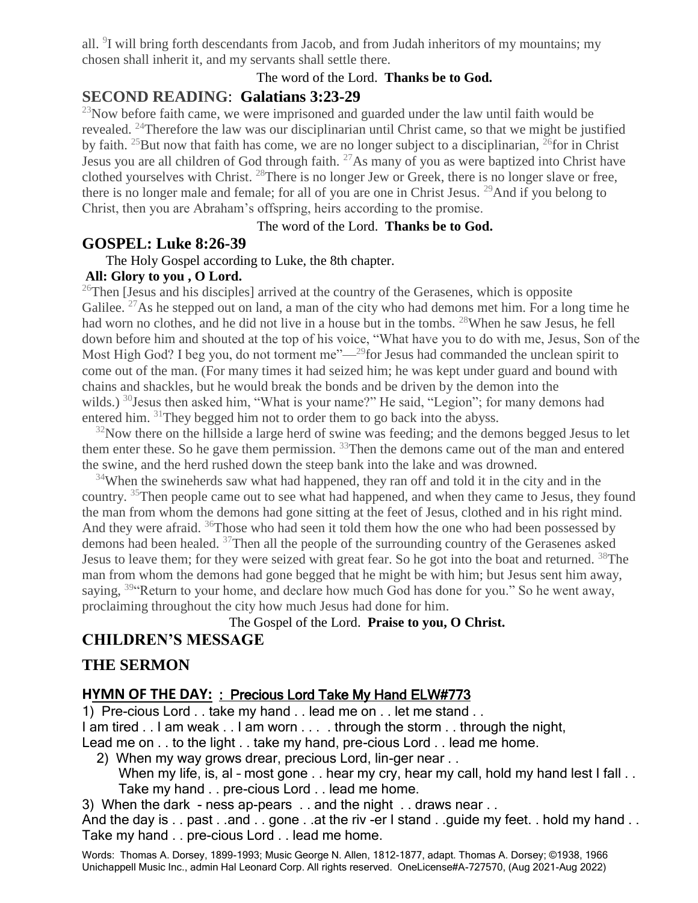all. <sup>9</sup>I will bring forth descendants from Jacob, and from Judah inheritors of my mountains; my chosen shall inherit it, and my servants shall settle there.

#### The word of the Lord. **Thanks be to God.**

### **SECOND READING**: **Galatians 3:23-29**

 $^{23}$ Now before faith came, we were imprisoned and guarded under the law until faith would be revealed. <sup>24</sup>Therefore the law was our disciplinarian until Christ came, so that we might be justified by faith. <sup>25</sup>But now that faith has come, we are no longer subject to a disciplinarian, <sup>26</sup>for in Christ Jesus you are all children of God through faith.  $^{27}$ As many of you as were baptized into Christ have clothed yourselves with Christ.  $^{28}$ There is no longer Jew or Greek, there is no longer slave or free, there is no longer male and female; for all of you are one in Christ Jesus. <sup>29</sup>And if you belong to Christ, then you are Abraham's offspring, heirs according to the promise.

#### The word of the Lord. **Thanks be to God.**

### **GOSPEL: Luke 8:26-39**

The Holy Gospel according to Luke, the 8th chapter.

#### **All: Glory to you , O Lord.**

 $^{26}$ Then [Jesus and his disciples] arrived at the country of the Gerasenes, which is opposite Galilee. <sup>27</sup>As he stepped out on land, a man of the city who had demons met him. For a long time he had worn no clothes, and he did not live in a house but in the tombs. <sup>28</sup>When he saw Jesus, he fell down before him and shouted at the top of his voice, "What have you to do with me, Jesus, Son of the Most High God? I beg you, do not torment me"—<sup>29</sup>for Jesus had commanded the unclean spirit to come out of the man. (For many times it had seized him; he was kept under guard and bound with chains and shackles, but he would break the bonds and be driven by the demon into the wilds.) <sup>30</sup>Jesus then asked him, "What is your name?" He said, "Legion"; for many demons had entered him. <sup>31</sup>They begged him not to order them to go back into the abyss.

 $32$ Now there on the hillside a large herd of swine was feeding; and the demons begged Jesus to let them enter these. So he gave them permission. <sup>33</sup>Then the demons came out of the man and entered the swine, and the herd rushed down the steep bank into the lake and was drowned.

 $34$ When the swineherds saw what had happened, they ran off and told it in the city and in the country. <sup>35</sup>Then people came out to see what had happened, and when they came to Jesus, they found the man from whom the demons had gone sitting at the feet of Jesus, clothed and in his right mind. And they were afraid.  $36$ Those who had seen it told them how the one who had been possessed by demons had been healed. <sup>37</sup>Then all the people of the surrounding country of the Gerasenes asked Jesus to leave them; for they were seized with great fear. So he got into the boat and returned. <sup>38</sup>The man from whom the demons had gone begged that he might be with him; but Jesus sent him away, saying, <sup>39</sup> Return to your home, and declare how much God has done for you." So he went away, proclaiming throughout the city how much Jesus had done for him.

The Gospel of the Lord. **Praise to you, O Christ.**

## **CHILDREN'S MESSAGE**

### **THE SERMON**

### **HYMN OF THE DAY:** : Precious Lord Take My Hand ELW#773

1) Pre-cious Lord . . take my hand . . lead me on . . let me stand . . I am tired . . I am weak . . I am worn . . . . through the storm . . through the night, Lead me on . . to the light . . take my hand, pre-cious Lord . . lead me home.

 2) When my way grows drear, precious Lord, lin-ger near . . When my life, is, al - most gone . . hear my cry, hear my call, hold my hand lest I fall . . Take my hand . . pre-cious Lord . . lead me home.

3) When the dark - ness ap-pears . . and the night . . draws near . .

And the day is . . past . .and . . gone . .at the riv -er I stand . . guide my feet. . hold my hand . . Take my hand . . pre-cious Lord . . lead me home.

Words: Thomas A. Dorsey, 1899-1993; Music George N. Allen, 1812-1877, adapt. Thomas A. Dorsey; ©1938, 1966 Unichappell Music Inc., admin Hal Leonard Corp. All rights reserved. OneLicense#A-727570, (Aug 2021-Aug 2022)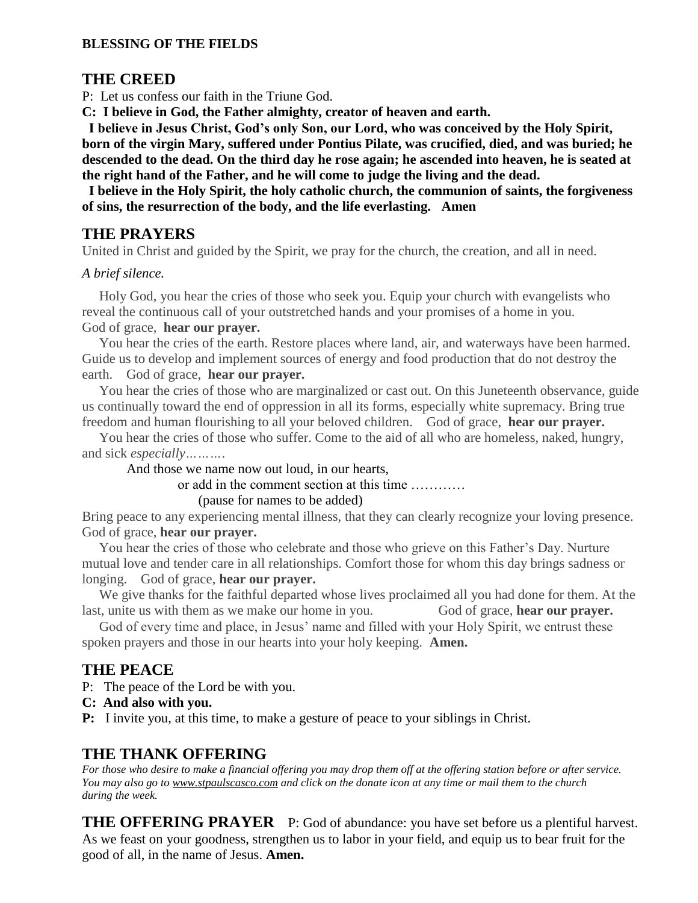#### **BLESSING OF THE FIELDS**

#### **THE CREED**

P: Let us confess our faith in the Triune God.

**C: I believe in God, the Father almighty, creator of heaven and earth.** 

 **I believe in Jesus Christ, God's only Son, our Lord, who was conceived by the Holy Spirit, born of the virgin Mary, suffered under Pontius Pilate, was crucified, died, and was buried; he descended to the dead. On the third day he rose again; he ascended into heaven, he is seated at the right hand of the Father, and he will come to judge the living and the dead.**

 **I believe in the Holy Spirit, the holy catholic church, the communion of saints, the forgiveness of sins, the resurrection of the body, and the life everlasting. Amen** 

### **THE PRAYERS**

United in Christ and guided by the Spirit, we pray for the church, the creation, and all in need.

#### *A brief silence.*

 Holy God, you hear the cries of those who seek you. Equip your church with evangelists who reveal the continuous call of your outstretched hands and your promises of a home in you. God of grace, **hear our prayer.**

 You hear the cries of the earth. Restore places where land, air, and waterways have been harmed. Guide us to develop and implement sources of energy and food production that do not destroy the earth. God of grace, **hear our prayer.**

 You hear the cries of those who are marginalized or cast out. On this Juneteenth observance, guide us continually toward the end of oppression in all its forms, especially white supremacy. Bring true freedom and human flourishing to all your beloved children. God of grace, **hear our prayer.**

 You hear the cries of those who suffer. Come to the aid of all who are homeless, naked, hungry, and sick *especially………*.

And those we name now out loud, in our hearts,

or add in the comment section at this time …………

(pause for names to be added)

Bring peace to any experiencing mental illness, that they can clearly recognize your loving presence. God of grace, **hear our prayer.**

 You hear the cries of those who celebrate and those who grieve on this Father's Day. Nurture mutual love and tender care in all relationships. Comfort those for whom this day brings sadness or longing. God of grace, **hear our prayer.**

 We give thanks for the faithful departed whose lives proclaimed all you had done for them. At the last, unite us with them as we make our home in you. God of grace, **hear our prayer.** 

 God of every time and place, in Jesus' name and filled with your Holy Spirit, we entrust these spoken prayers and those in our hearts into your holy keeping. **Amen.**

### **THE PEACE**

P: The peace of the Lord be with you.

**C: And also with you.**

**P:** I invite you, at this time, to make a gesture of peace to your siblings in Christ.

### **THE THANK OFFERING**

*For those who desire to make a financial offering you may drop them off at the offering station before or after service. You may also go to [www.stpaulscasco.com](http://www.stpaulscasco.com/) and click on the donate icon at any time or mail them to the church during the week.* 

**THE OFFERING PRAYER** P: God of abundance: you have set before us a plentiful harvest. As we feast on your goodness, strengthen us to labor in your field, and equip us to bear fruit for the good of all, in the name of Jesus. **Amen.**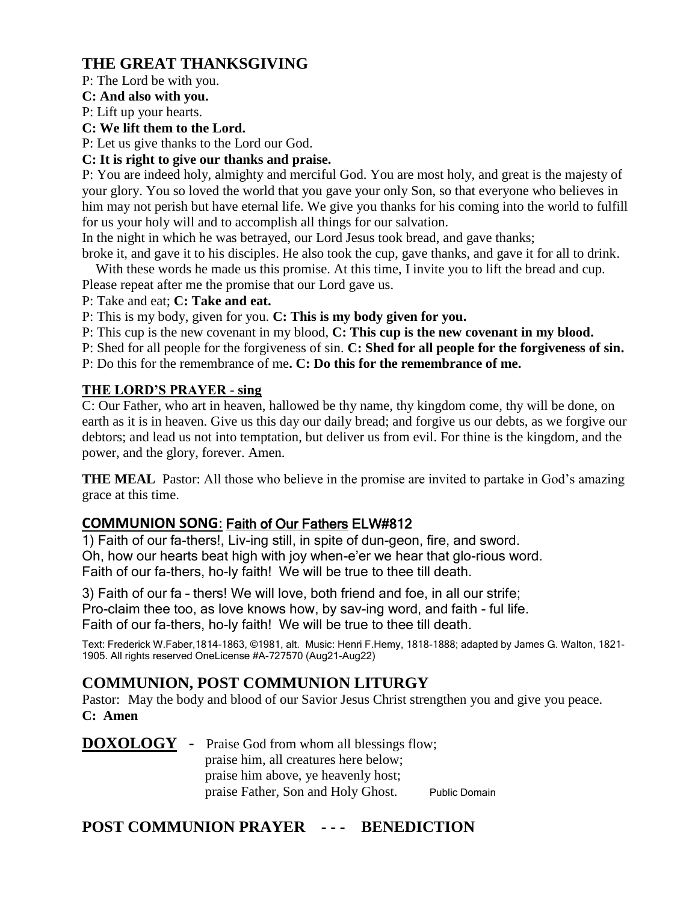## **THE GREAT THANKSGIVING**

P: The Lord be with you.

#### **C: And also with you.**

P: Lift up your hearts.

**C: We lift them to the Lord.**

P: Let us give thanks to the Lord our God.

### **C: It is right to give our thanks and praise.**

P: You are indeed holy, almighty and merciful God. You are most holy, and great is the majesty of your glory. You so loved the world that you gave your only Son, so that everyone who believes in him may not perish but have eternal life. We give you thanks for his coming into the world to fulfill for us your holy will and to accomplish all things for our salvation.

In the night in which he was betrayed, our Lord Jesus took bread, and gave thanks;

broke it, and gave it to his disciples. He also took the cup, gave thanks, and gave it for all to drink.

With these words he made us this promise. At this time, I invite you to lift the bread and cup.

Please repeat after me the promise that our Lord gave us.

P: Take and eat; **C: Take and eat.**

P: This is my body, given for you. **C: This is my body given for you.**

P: This cup is the new covenant in my blood, **C: This cup is the new covenant in my blood.**

P: Shed for all people for the forgiveness of sin. **C: Shed for all people for the forgiveness of sin.**

P: Do this for the remembrance of me**. C: Do this for the remembrance of me.**

### **THE LORD'S PRAYER - sing**

C: Our Father, who art in heaven, hallowed be thy name, thy kingdom come, thy will be done, on earth as it is in heaven. Give us this day our daily bread; and forgive us our debts, as we forgive our debtors; and lead us not into temptation, but deliver us from evil. For thine is the kingdom, and the power, and the glory, forever. Amen.

**THE MEAL** Pastor: All those who believe in the promise are invited to partake in God's amazing grace at this time.

### **COMMUNION SONG**: Faith of Our Fathers ELW#812

1) Faith of our fa-thers!, Liv-ing still, in spite of dun-geon, fire, and sword. Oh, how our hearts beat high with joy when-e'er we hear that glo-rious word. Faith of our fa-thers, ho-ly faith! We will be true to thee till death.

3) Faith of our fa – thers! We will love, both friend and foe, in all our strife; Pro-claim thee too, as love knows how, by sav-ing word, and faith - ful life. Faith of our fa-thers, ho-ly faith! We will be true to thee till death.

Text: Frederick W.Faber,1814-1863, ©1981, alt. Music: Henri F.Hemy, 1818-1888; adapted by James G. Walton, 1821- 1905. All rights reserved OneLicense #A-727570 (Aug21-Aug22)

## **COMMUNION, POST COMMUNION LITURGY**

Pastor: May the body and blood of our Savior Jesus Christ strengthen you and give you peace. **C: Amen**

#### **DOXOLOGY** - Praise God from whom all blessings flow; praise him, all creatures here below; praise him above, ye heavenly host; praise Father, Son and Holy Ghost. Public Domain

## **POST COMMUNION PRAYER - - - BENEDICTION**